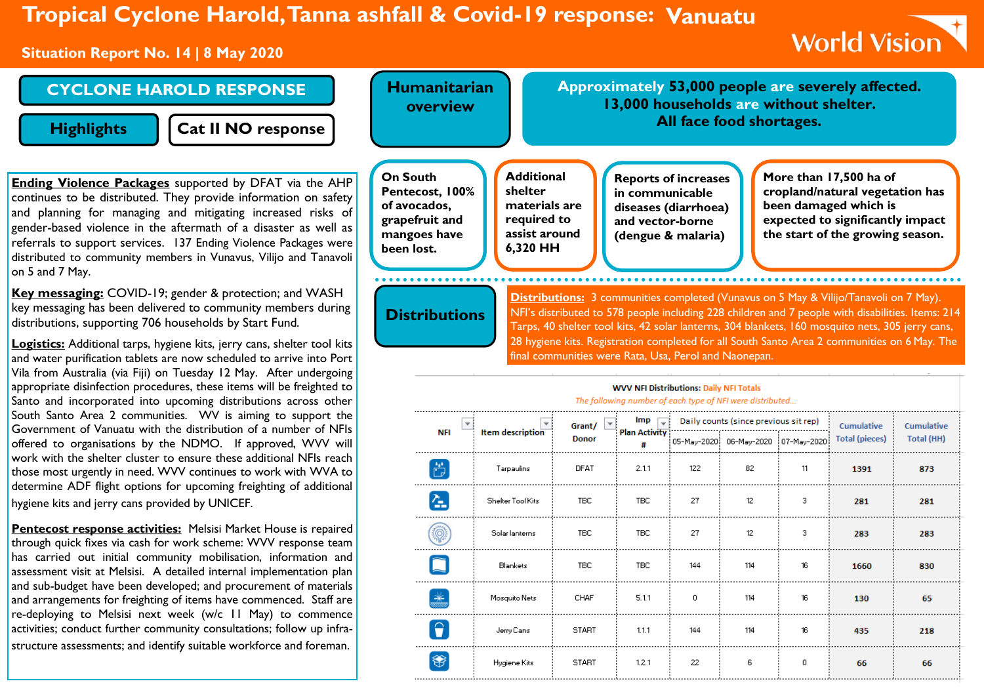# **Tropical Cyclone Harold, Tanna ashfall & Covid-19 response: Vanuatu**

#### **Situation Report No. 14 | 8 May 2020**

# **World Vision**

### **CYCLONE HAROLD RESPONSE**

**Highlights**

**Cat II NO response**

**Ending Violence Packages** supported by DFAT via the continues to be distributed. They provide information on s and planning for managing and mitigating increased risk gender-based violence in the aftermath of a disaster as we referrals to support services. 137 Ending Violence Packages distributed to community members in Vunavus, Vilijo and Tar on 5 and 7 May.

Key messaging: COVID-19; gender & protection; and WA key messaging has been delivered to community members du distributions, supporting 706 households by Start Fund.

**Logistics:** Additional tarps, hygiene kits, jerry cans, shelter too and water purification tablets are now scheduled to arrive into Vila from Australia (via Fiji) on Tuesday 12 May. After underg appropriate disinfection procedures, these items will be freighted to Santo and incorporated into upcoming distributions across o South Santo Area 2 communities. WV is aiming to suppor Government of Vanuatu with the distribution of a number of offered to organisations by the NDMO. If approved, WVV work with the shelter cluster to ensure these additional NFIs those most urgently in need. WVV continues to work with WV determine ADF flight options for upcoming freighting of addit hygiene kits and jerry cans provided by UNICEF.

**Pentecost response activities:** Melsisi Market House is rep through quick fixes via cash for work scheme: WVV response team has carried out initial community mobilisation, information and assessment visit at Melsisi. A detailed internal implementation plan and sub-budget have been developed; and procurement of materials and arrangements for freighting of items have commenced. Staff are re-deploying to Melsisi next week (w/c 11 May) to commence activities; conduct further community consultations; follow up infrastructure assessments; and identify suitable workforce and foreman.

|                                                          | <b>Humanitarian</b><br>overview                                                                    |                                                                                           |                                                                                                                                                                                                                                                    |                                                                                                                  |              | 13,000 households are without shelter.<br>All face food shortages. |               | Approximately 53,000 people are severely affected.                                                                                                         |                                                                                                                                                                                                   |
|----------------------------------------------------------|----------------------------------------------------------------------------------------------------|-------------------------------------------------------------------------------------------|----------------------------------------------------------------------------------------------------------------------------------------------------------------------------------------------------------------------------------------------------|------------------------------------------------------------------------------------------------------------------|--------------|--------------------------------------------------------------------|---------------|------------------------------------------------------------------------------------------------------------------------------------------------------------|---------------------------------------------------------------------------------------------------------------------------------------------------------------------------------------------------|
| <b>AHP</b><br>afety<br>cs of<br>ell as<br>were<br>navoli | <b>On South</b><br>Pentecost, 100%<br>of avocados,<br>grapefruit and<br>mangoes have<br>been lost. | <b>Additional</b><br>shelter<br>materials are<br>required to<br>assist around<br>6,320 HH |                                                                                                                                                                                                                                                    | <b>Reports of increases</b><br>in communicable<br>diseases (diarrhoea)<br>and vector-borne<br>(dengue & malaria) |              |                                                                    |               | More than 17,500 ha of<br>cropland/natural vegetation has<br>been damaged which is<br>expected to significantly impact<br>the start of the growing season. |                                                                                                                                                                                                   |
| ιSΗ<br>uring<br>l kits<br>Port                           | <b>Distributions</b>                                                                               |                                                                                           | Distributions: 3 communities completed (Vunavus on 5 May & Vilijo/Tanavoli on 7 May).<br>Tarps, 40 shelter tool kits, 42 solar lanterns, 304 blankets, 160 mosquito nets, 305 jerry cans,<br>final communities were Rata, Usa, Perol and Naonepan. |                                                                                                                  |              |                                                                    |               |                                                                                                                                                            | NFI's distributed to 578 people including 228 children and 7 people with disabilities. Items: 214<br>28 hygiene kits. Registration completed for all South Santo Area 2 communities on 6 May. The |
| going<br>ed to                                           |                                                                                                    |                                                                                           |                                                                                                                                                                                                                                                    | <b>WVV NFI Distributions: Daily NFI Totals</b>                                                                   |              |                                                                    |               |                                                                                                                                                            |                                                                                                                                                                                                   |
|                                                          |                                                                                                    |                                                                                           |                                                                                                                                                                                                                                                    | The following number of each type of NFI were distributed                                                        |              |                                                                    |               |                                                                                                                                                            |                                                                                                                                                                                                   |
| other                                                    |                                                                                                    |                                                                                           |                                                                                                                                                                                                                                                    |                                                                                                                  |              |                                                                    |               |                                                                                                                                                            |                                                                                                                                                                                                   |
| t the                                                    |                                                                                                    |                                                                                           | Grant/                                                                                                                                                                                                                                             | Imp                                                                                                              |              | Daily counts (since previous sit rep)                              |               | Cumulative                                                                                                                                                 | Cumulative                                                                                                                                                                                        |
| <b>NFIs</b><br>/ will                                    | <b>NFI</b>                                                                                         | <b>Item description</b>                                                                   | <b>Donor</b>                                                                                                                                                                                                                                       | <b>Plan Activity</b><br>#                                                                                        | 05-Mau-2020) | 06-May-2020                                                        | i 07-Mau-2020 | <b>Total (pieces)</b>                                                                                                                                      | Total (HH)                                                                                                                                                                                        |
| reach<br>/A to                                           | ö                                                                                                  | Tarpaulins                                                                                | <b>DFAT</b>                                                                                                                                                                                                                                        | 2.11                                                                                                             | 122          | 82                                                                 | 11            | 1391                                                                                                                                                       | 873                                                                                                                                                                                               |
| tional                                                   | 견                                                                                                  | Shelter Tool Kits                                                                         | <b>TBC</b>                                                                                                                                                                                                                                         | <b>TBC</b>                                                                                                       | 27           | 12                                                                 | 3             | 281                                                                                                                                                        | 281                                                                                                                                                                                               |

TBC

 $5.11$ 

 $1.1.1$ 

 $1.2.1$ 

144

 $\mathbf 0$ 

144

22

114

114

114

6

16

16

 $16$ 

 $\boldsymbol{0}$ 

1660

130

435

66

830

65

218

66

Blankets

Mosquito Nets

Jerry Cans

Hygiene Kits

 $*$ 

 $\boxed{\Theta}$ 

\$

TBC

CHAF

**START** 

**START**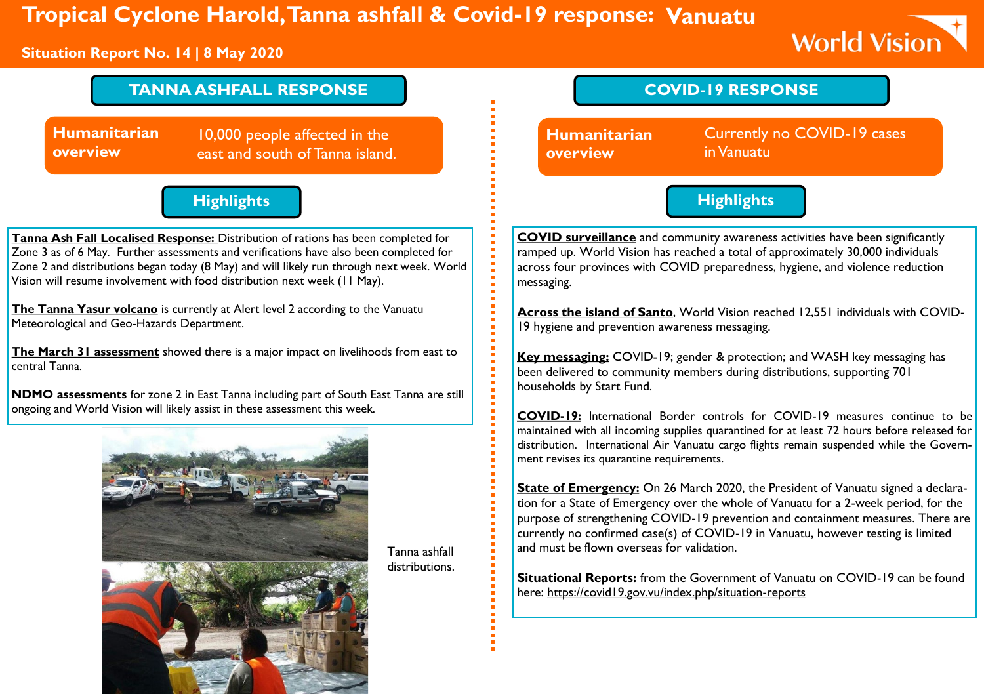# **Tropical Cyclone Harold, Tanna ashfall & Covid-19 response: Vanuatu**

#### **Situation Report No. 14 | 8 May 2020**

# **World Vision**

## **TANNA ASHFALL RESPONSE**

**Humanitarian overview**

10,000 people affected in the east and south of Tanna island.

## **Highlights**

**Tanna Ash Fall Localised Response:** Distribution of rations has been completed for Zone 3 as of 6 May. Further assessments and verifications have also been completed for Zone 2 and distributions began today (8 May) and will likely run through next week. World Vision will resume involvement with food distribution next week (11 May).

**The Tanna Yasur volcano** is currently at Alert level 2 according to the Vanuatu Meteorological and Geo-Hazards Department.

**The March 31 assessment** showed there is a major impact on livelihoods from east to central Tanna.

**NDMO assessments** for zone 2 in East Tanna including part of South East Tanna are still ongoing and World Vision will likely assist in these assessment this week.



Tanna ashfall distributions.



**COVID surveillance** and community awareness activities have been significantly ramped up. World Vision has reached a total of approximately 30,000 individuals across four provinces with COVID preparedness, hygiene, and violence reduction messaging.

**Highlights**

**Across the island of Santo**, World Vision reached 12,551 individuals with COVID-19 hygiene and prevention awareness messaging.

**Key messaging:** COVID-19; gender & protection; and WASH key messaging has been delivered to community members during distributions, supporting 701 households by Start Fund.

**COVID-19:** International Border controls for COVID-19 measures continue to be maintained with all incoming supplies quarantined for at least 72 hours before released for distribution. International Air Vanuatu cargo flights remain suspended while the Government revises its quarantine requirements.

**State of Emergency:** On 26 March 2020, the President of Vanuatu signed a declaration for a State of Emergency over the whole of Vanuatu for a 2-week period, for the purpose of strengthening COVID-19 prevention and containment measures. There are currently no confirmed case(s) of COVID-19 in Vanuatu, however testing is limited and must be flown overseas for validation.

**Situational Reports:** from the Government of Vanuatu on COVID-19 can be found here:<https://covid19.gov.vu/index.php/situation-reports>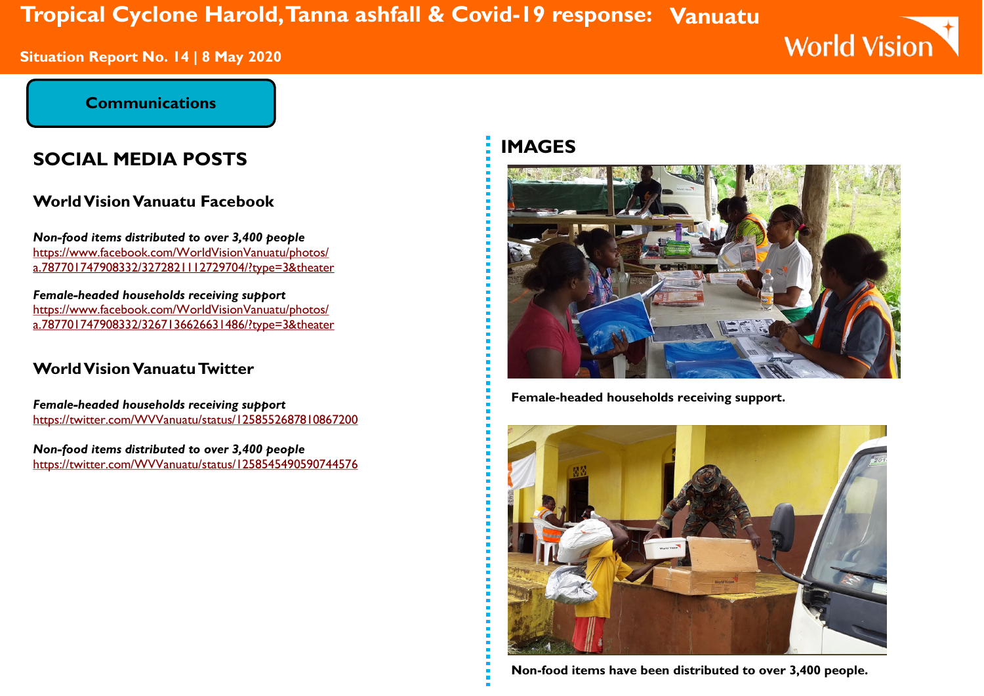# **Tropical Cyclone Harold, Tanna ashfall & Covid-19 response: Vanuatu**

**Situation Report No. 14 | 8 May 2020** 

# **World Vision**

#### **Communications**

## **SOCIAL MEDIA POSTS**

## **World Vision Vanuatu Facebook**

*Non-food items distributed to over 3,400 people* [https://www.facebook.com/WorldVisionVanuatu/photos/](https://www.facebook.com/WorldVisionVanuatu/photos/a.787701747908332/3272821112729704/?type=3&theater) [a.787701747908332/3272821112729704/?type=3&theater](https://www.facebook.com/WorldVisionVanuatu/photos/a.787701747908332/3272821112729704/?type=3&theater)

*Female-headed households receiving support* [https://www.facebook.com/WorldVisionVanuatu/photos/](https://www.facebook.com/WorldVisionVanuatu/photos/a.787701747908332/3267136626631486/?type=3&theater) [a.787701747908332/3267136626631486/?type=3&theater](https://www.facebook.com/WorldVisionVanuatu/photos/a.787701747908332/3267136626631486/?type=3&theater)

### **World Vision Vanuatu Twitter**

*Female-headed households receiving support* <https://twitter.com/WVVanuatu/status/1258552687810867200>

*Non-food items distributed to over 3,400 people* <https://twitter.com/WVVanuatu/status/1258545490590744576>

## **IMAGES**



**Female-headed households receiving support.**



**Non-food items have been distributed to over 3,400 people.**